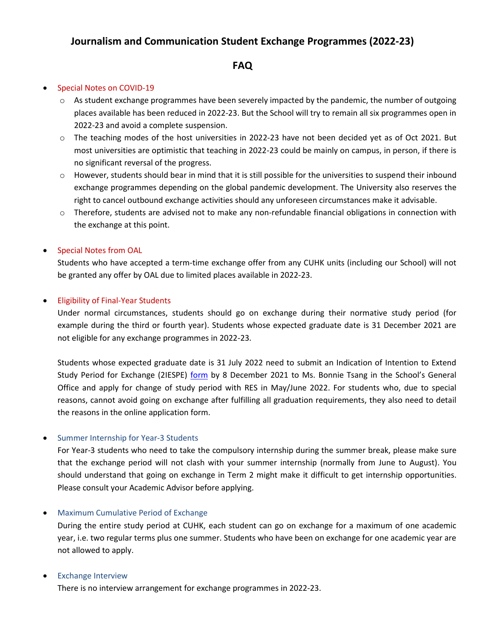# **Journalism and Communication Student Exchange Programmes (2022-23)**

## **FAQ**

#### • Special Notes on COVID-19

- $\circ$  As student exchange programmes have been severely impacted by the pandemic, the number of outgoing places available has been reduced in 2022-23. But the School will try to remain all six programmes open in 2022-23 and avoid a complete suspension.
- o The teaching modes of the host universities in 2022-23 have not been decided yet as of Oct 2021. But most universities are optimistic that teaching in 2022-23 could be mainly on campus, in person, if there is no significant reversal of the progress.
- o However, students should bear in mind that it is still possible for the universities to suspend their inbound exchange programmes depending on the global pandemic development. The University also reserves the right to cancel outbound exchange activities should any unforeseen circumstances make it advisable.
- o Therefore, students are advised not to make any non-refundable financial obligations in connection with the exchange at this point.

### • Special Notes from OAL

Students who have accepted a term-time exchange offer from any CUHK units (including our School) will not be granted any offer by OAL due to limited places available in 2022-23.

#### • Eligibility of Final-Year Students

Under normal circumstances, students should go on exchange during their normative study period (for example during the third or fourth year). Students whose expected graduate date is 31 December 2021 are not eligible for any exchange programmes in 2022-23.

Students whose expected graduate date is 31 July 2022 need to submit an Indication of Intention to Extend Study Period for Exchange (2IESPE) [form](https://www.cuhk.edu.hk/oal/restricted/all/ex_form_ug.pdf) by 8 December 2021 to Ms. Bonnie Tsang in the School's General Office and apply for change of study period with RES in May/June 2022. For students who, due to special reasons, cannot avoid going on exchange after fulfilling all graduation requirements, they also need to detail the reasons in the online application form.

#### • Summer Internship for Year-3 Students

For Year-3 students who need to take the compulsory internship during the summer break, please make sure that the exchange period will not clash with your summer internship (normally from June to August). You should understand that going on exchange in Term 2 might make it difficult to get internship opportunities. Please consult your Academic Advisor before applying.

#### • Maximum Cumulative Period of Exchange

During the entire study period at CUHK, each student can go on exchange for a maximum of one academic year, i.e. two regular terms plus one summer. Students who have been on exchange for one academic year are not allowed to apply.

#### • Exchange Interview

There is no interview arrangement for exchange programmes in 2022-23.